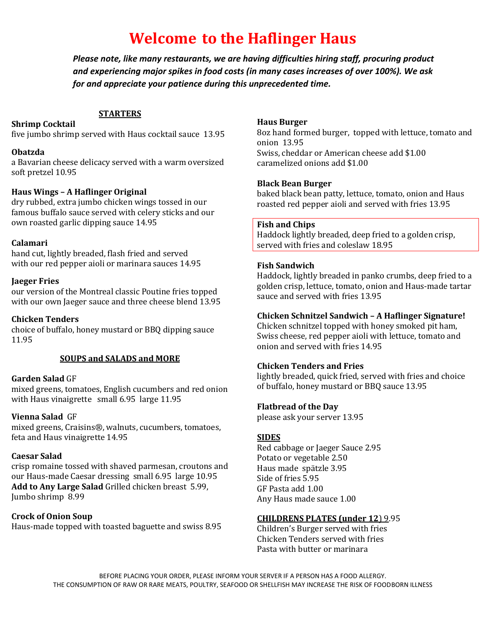# **Welcome****to the Haflinger Haus**

*Please note, like many restaurants, we are having difficulties hiring staff, procuring product and experiencing major spikes in food costs (in many cases increases of over 100%). We ask for and appreciate your patience during this unprecedented time.*

#### **STARTERS**

#### **Shrimp Cocktail**

five jumbo shrimp served with Haus cocktail sauce 13.95

#### **Obatzda**

a Bavarian cheese delicacy served with a warm oversized soft pretzel 10.95

#### **Haus Wings – A Haflinger Original**

dry rubbed, extra jumbo chicken wings tossed in our famous buffalo sauce served with celery sticks and our own roasted garlic dipping sauce 14.95

#### **Calamari**

hand cut, lightly breaded, flash fried and served with our red pepper aioli or marinara sauces 14.95

#### **Jaeger Fries**

our version of the Montreal classic Poutine fries topped with our own Jaeger sauce and three cheese blend 13.95

#### **Chicken Tenders**

choice of buffalo, honey mustard or BBQ dipping sauce 11.95

#### **SOUPS and SALADS and MORE**

#### **Garden Salad** GF

mixed greens, tomatoes, English cucumbers and red onion with Haus vinaigrette small 6.95 large 11.95

#### **Vienna Salad** GF

mixed greens, Craisins®, walnuts, cucumbers, tomatoes, feta and Haus vinaigrette 14.95

#### **Caesar Salad**

crisp romaine tossed with shaved parmesan, croutons and our Haus-made Caesar dressing small 6.95 large 10.95 **Add to Any Large Salad** Grilled chicken breast 5.99, Jumbo shrimp 8.99

#### **Crock of Onion Soup**

Haus-made topped with toasted baguette and swiss 8.95

#### **Haus Burger**

8oz hand formed burger, topped with lettuce, tomato and onion 13.95 Swiss, cheddar or American cheese add \$1.00 caramelized onions add \$1.00

#### **Black Bean Burger**

baked black bean patty, lettuce, tomato, onion and Haus roasted red pepper aioli and served with fries 13.95

#### **Fish and Chips**

Haddock lightly breaded, deep fried to a golden crisp, served with fries and coleslaw 18.95

#### **Fish Sandwich**

Haddock, lightly breaded in panko crumbs, deep fried to a golden crisp, lettuce, tomato, onion and Haus-made tartar sauce and served with fries 13.95

#### **Chicken Schnitzel Sandwich – A Haflinger Signature!**

Chicken schnitzel topped with honey smoked pit ham, Swiss cheese, red pepper aioli with lettuce, tomato and onion and served with fries 14.95

#### **Chicken Tenders and Fries**

lightly breaded, quick fried, served with fries and choice of buffalo, honey mustard or BBQ sauce 13.95

#### **Flatbread of the Day**

please ask your server 13.95

#### **SIDES**

Red cabbage or Jaeger Sauce 2.95 Potato or vegetable 2.50 Haus made spätzle 3.95 Side of fries 5.95 GF Pasta add 1.00 Any Haus made sauce 1.00

#### **CHILDRENS PLATES (under 12**) 9.95

Children's Burger served with fries Chicken Tenders served with fries Pasta with butter or marinara